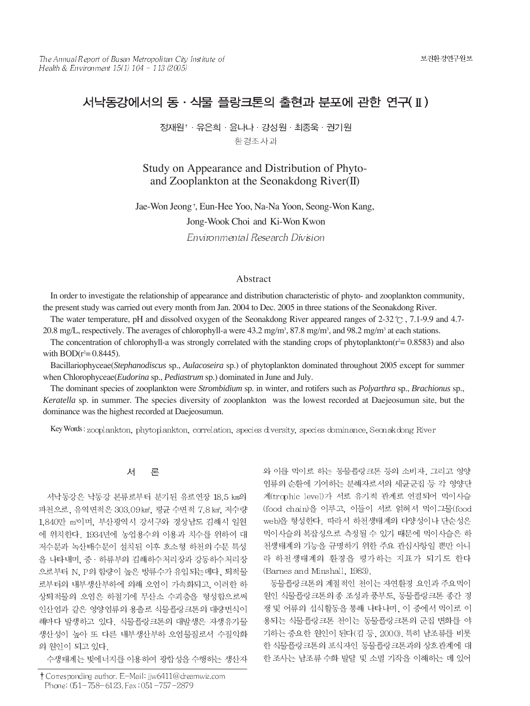# 서낙동강에서의 동 · 식물 플랑크톤의 출현과 분포에 관한 연구(II)

정재원<sup>†</sup> · 유은희 · 윤나나 · 강성원 · 최종욱 · 권기원 환경조사과

Study on Appearance and Distribution of Phytoand Zooplankton at the Seonakdong River(II)

Jae-Won Jeong <sup>†</sup>, Eun-Hee Yoo, Na-Na Yoon, Seong-Won Kang, Jong-Wook Choi and Ki-Won Kwon Environmental Research Division

### Abstract

In order to investigate the relationship of appearance and distribution characteristic of phyto- and zooplankton community, the present study was carried out every month from Jan. 2004 to Dec. 2005 in three stations of the Seonakdong River.

The water temperature, pH and dissolved oxygen of the Seonakdong River appeared ranges of 2-32  $\degree$ C, 7.1-9.9 and 4.7-20.8 mg/L, respectively. The averages of chlorophyll-a were  $43.2$  mg/m<sup>3</sup>,  $87.8$  mg/m<sup>3</sup>, and  $98.2$  mg/m<sup>3</sup> at each stations.

The concentration of chlorophyll-a was strongly correlated with the standing crops of phytoplankton( $r^2 = 0.8583$ ) and also with  $BOD(r^2=0.8445)$ .

Bacillariophyceae(*Stephanodiscus* sp., *Aulacoseira* sp.) of phytoplankton dominated throughout 2005 except for summer when Chlorophyceae(*Eudorina* sp., *Pediastrum* sp.) dominated in June and July.

The dominant species of zooplankton were *Strombidium* sp. in winter, and rotifers such as *Polyarthra* sp., *Brachionus* sp., *Keratella* sp. in summer. The species diversity of zooplankton was the lowest recorded at Daejeosumun site, but the dominance was the highest recorded at Daejeosumun.

Key Words: zooplankton, phytoplankton, correlation, species diversity, species dominance, Seonakdong River

#### 서 론

서낙동강은 낙동강 본류로부터 분기된 유로연장 18.5 km의 파천으로, 유역면적은 303.09 km2, 평균 수면적 7.8 km2 저수량 1,840만 m'이며, 부산광역시 강서구와 경상남도 김해시 일원 에 위치한다. 1934년에 농업용수의 이용과 치수를 위하여 대 저수문과 녹산배수문이 설치된 이후 호소형 하천의 수문 특성 을 나타내며, 중 · 하류부의 김해하수처리장과 강동하수처리장 으로부터 N. P의 함량이 높은 방류수가 유입되는데다. 퇴적물 로부터의 내부생산부하에 의해 오염이 가속화되고, 이러한 하 상퇴적물의 오염은 하절기에 무산소 수괴층을 형성함으로써 인산염과 같은 영양염류의 용출로 식물플랑크톤의 대량번식이 해마다 발생하고 있다. 식물플랑크톤의 대발생은 자생유기물 생산성이 높아 또 다른 내부생산부하 오염물질로서 수질악화 의 원인이 되고 있다.

수생태계는 빛에너지를 이용하여 광합성을 수행하는 생산자

와 이를 먹이로 하는 동물플랑크톤 등의 소비자, 그리고 영양 염류의 순환에 기여하는 분해자로서의 세균군집 등 각 영양단 계(trophic level)가 서로 유기적 관계로 연결되어 먹이사슬 (food chain)을 이루고, 이들이 서로 얽혀서 먹이그물(food web)을 형성한다. 따라서 하천생태계의 다양성이나 단순성은 먹이사슬의 복잡성으로 측정될 수 있기 때문에 먹이사슬은 하 천생태계의 기능을 규명하기 위한 주요 관심사항일 뿐만 아니 라 하천생태계의 환경을 평가하는 지표가 되기도 한다 (Barnes and Minshall, 1983).

동물플랑크톤의 계절적인 천이는 자연환경 요인과 주요먹이 원인 식물플랑크톤의종 조성과 풍부도, 동물플랑크톤 종간 경 쟁 및 어류의 섭식활동을 통해 나타나며, 이 중에서 먹이로 이 용되는 식물플랑크톤 천이는 동물플랑크톤의 군집 변화를 야 기하는 중요한 원인이 된다(김 등, 2000). 특히 남조류를 비롯 한 식물플랑크톤의 포식자인 동물플랑크톤과의 상호관계에 대 한 조사는 남조류 수화 발달 및 소멸 기작을 이해하는 데 있어

<sup>†</sup> Corresponding author. E-Mail: jjw6411@dreamwiz.com Phone: 051-758-6123, Fax: 051-757-2879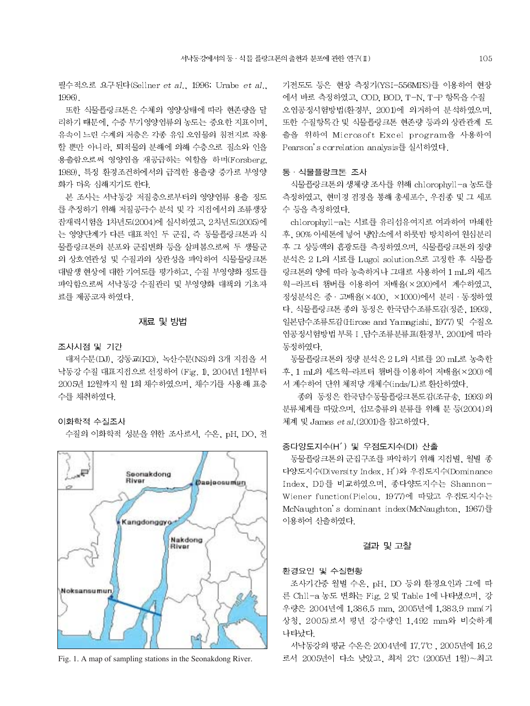필수적으로 요구된다(Sellner et al., 1996; Urabe et al., 1996).

또한 식물플랑크톤은 수체의 영양상태에 따라 현존량을 달 리하기 때문에, 수중 무기영양염류의 농도는 중요한 지표이며, 유속이 느린 수계의 저층은 각종 유입 오염물의 침전지로 작용 할 뿐만 아니라. 퇴적물의 분해에 의해 수층으로 질소와 인을 용출함으로써 영양염을 재공급하는 역할을 하며(Forsberg, 1989). 특정 환경조건하에서의 급격한 용출량 증가로 부영양 화가 더욱 심해지기도 한다.

본 조사는 서낙동강 저질층으로부터의 영양염류 용출 정도 를 추정하기 위해 저질공극수 분석 및 각 지점에서의 조류생장 잔재력시험을 1차년도(2004)에 실시하였고, 2차년도(2005)에 는 영양단계가 다른 대표적인 두 군집, 즉 동물플랑크톤과 식 물플랑크톤의 분포와 군집변화 등을 살펴봄으로써 두 생물군 의 상호연관성 및 수질과의 상관성을 파악하여 식물물랑크톤 대발생 현상에 대한 기여도를 평가하고, 수질 부영양화 정도를 파악함으로써 서낙동강 수질관리 및 부영양화 대책의 기초자 료를 제공코자 하였다.

# 재료 및 방법

#### 조사시점 및 기간

대저수문(DJ), 강동교(KD), 녹산수문(NS)의 3개 지점을 서 낙동강 수질 대표지접으로 선정하여 (Fig. 1), 2004년 1월부터 2005년 12월까지 월 1회 채수하였으며, 채수기를 사용해 표층 수를 채취하였다.

# 이화학적 수질조사

수질의 이화학적 성분을 위한 조사로서, 수온, pH, DO, 전



Fig. 1. A map of sampling stations in the Seonakdong River.

기전도도 등은 현장 측정기(YSI-556MPS)를 이용하여 현장 에서 바로 측정하였고, COD, BOD, T-N, T-P 항목을 수질 오염공정시험방법(환경부, 2001)에 의거하여 분석하였으며, 또한 수질항목간 및 식물플랑크톤 현존량 등과의 상관관계 도 출을 위하여 Microsoft Excel program을 사용하여 Pearson's correlation analysis를 실시하였다.

### 동·식물플랑크톤 조사

식물플랑크톤의 생체량 조사를 위해 chlorophyll-a 농도를 측정하였고, 현미경 검경을 통해 총세포수, 우점종 및 그 세포 수 등을 측정하였다.

chlorophyll-a는 시료를 유리섬유여지로 여과하여 마쇄한 후, 90% 아세톤에 넣어 냉암소에서 하룻밤 방치하여 원심분리 후 그 상등액의 흡광도를 측정하였으며, 식물플랑크톤의 정량 분석은 2 L의 시료를 Lugol solution으로 고정한 후 식물플 랑크톤의 양에 따라 농축하거나 그대로 사용하여 1 mL의 세즈 윅-라프터 챔버를 이용하여 저배율(×200)에서 계수하였고, 정성분석은 중 · 고배율(×400, ×1000)에서 분리 · 동정하였 다. 식물플랑크톤 종의 동정은 한국답수조류도감(정준, 1993), 일본담수조류도감(Hirose and Yamagishi, 1977) 및 수질오 염공정시험방법 부록 I . 담수조류분류표(환경부, 2001)에 따라 동정하였다

동물플랑크톤의 정량 분석은 2 L의 시료를 20 mL로 농축한 후, 1 mL의 세즈윅-라프터 챔버를 이용하여 저배율(×200)에 서 계수하여 단위 체적당 개체수(inds/L)로 환산하였다.

종의 동정은 한국담수동물플랑크톤도감(조규송, 1993)의 분류체계를 따랐으며, 섬모충류의 분류를 위해 문 등(2004)의 체계 및 James et al. (2001)을 참고하였다.

# 종다양도지수(H') 및 우점도지수(DI) 산출

동물플랑크톤의 군집구조를 파악하기 위해 지점별, 월별 종 다양도지수(Diversity Index, H')와 우점도지수(Dominance Index, DI)를 비교하였으며, 종다양도지수는 Shannon-Wiener function(Pielou, 1977)에 따랐고 우점도지수는 McNaughton's dominant index(McNaughton, 1967)를 이용하여 산출하였다.

#### 결과 및 고찰

#### 환경요인 및 수질현황

조사기간중 월별 수온, pH, DO 등의 환경요인과 그에 따 른 Chll-a 농도 변화는 Fig. 2 및 Table 1에 나타냈으며, 강 우량은 2004년에 1,386.5 mm, 2005년에 1,383.9 mm(기 상청, 2005)로서 평년 강수량인 1,492 mm와 비슷하게 나타났다

서낙동강의 평균 수온은 2004년에 17.7℃, 2005년에 16.2 로서 2005년이 다소 낮았고, 최저 2℃ (2005년 1월)~최고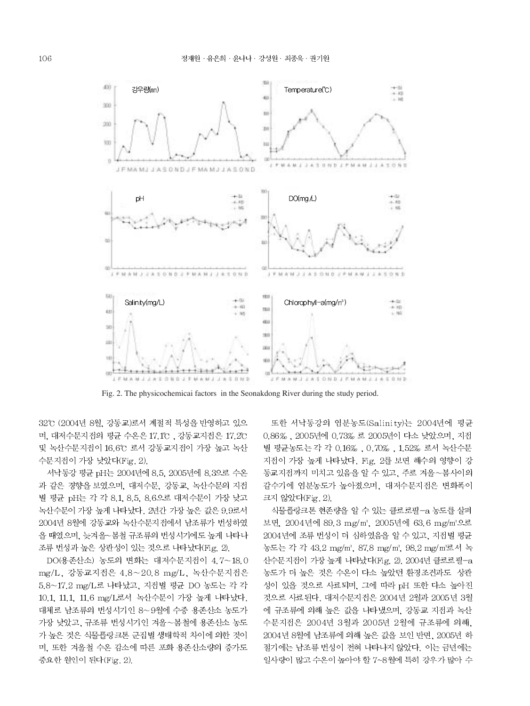

Fig. 2. The physicochemical factors in the Seonakdong River during the study period.

32℃ (2004년 8월, 강동교)로서 계절적 특성을 반영하고 있으 며, 대저수문지점의 평균 수온은 17.1°C , 강동교지점은 17.2°C 및 녹산수문지접이 16.6℃ 로서 강동교지접이 가장 높고 녹산 수문지접이 가장 낮았다(Fig. 2).

서낙동강 평균 pH는 2004년에 8.5, 2005년에 8.3으로 수온 과 같은 경향을 보였으며, 대저수문, 강동교, 녹산수문의 지점 별 평균 pH는 각 각 8.1, 8.5, 8.6으로 대저수문이 가장 낮고 녹산수문이 가장 높게 나타났다. 2년간 가장 높은 값은 9.9로서 2004년 8월에 강동교와 녹산수문지점에서 남조류가 번성하였 을 때였으며, 늦겨울~봄철 규조류의 번성시기에도 높게 나타나 조류 번성과 높은 상관성이 있는 것으로 나타났다(Fig. 2).

DO(용존산소) 농도의 변화는 대저수문지점이 4.7~18.0 mg/L, 강동교지접은 4.8~20.8 mg/L, 녹산수문지접은 5.8~17.2 mg/L로 나타났고, 지점별 평균 DO 농도는 각 각 10.1, 11.1, 11.6 mg/L로서 녹산수문이 가장 높게 나타났다. 대체로 남조류의 번성시기인 8~9월에 수중 용존산소 농도가 가장 낮았고, 규조류 번성시기인 겨울~봄철에 용존산소 농도 가 높은 것은 식물플랑크톤 군집별 생태학적 차이에 의한 것이 며, 또한 겨울철 수온 감소에 따른 포화 용존산소량의 증가도 중요한 원인이 된다(Fig. 2).

또한 서낙동강의 염분농도(Salinity)는 2004년에 평균 0.86%, 2005년에 0.73% 로 2005년이 다소 낮았으며, 지점 별 평균농도는 각 각 0.16%, 0.70%, 1.52% 로서 녹산수문 지접이 가장 높게 나타났다. Fig. 2를 보면 해수의 영향이 강 동교지점까지 미치고 있음을 알 수 있고, 주로 겨울~봄사이의 갈수기에 염분농도가 높아졌으며, 대저수문지점은 변화폭이 크지 않았다(Fig. 2).

식물플랑크톤 현존량을 알 수 있는 클로로필-a 농도를 살펴 보면, 2004년에 89.3 mg/m3, 2005년에 63.6 mg/m3으로 2004년에 조류 번성이 더 심하였음을 알 수 있고, 지점별 평균 농도는 각 각 43.2 mg/m3, 87.8 mg/m3, 98.2 mg/m3로서 녹 산수문지접이 가장 높게 나타났다(Fig. 2). 2004년 클로로필-a 농도가 더 높은 것은 수온이 다소 높았던 환경조건과도 상관 성이 있을 것으로 사료되며, 그에 따라 pH 또한 다소 높아진 것으로 사료된다. 대저수문지점은 2004년 2월과 2005년 3월 에 규조류에 의해 높은 값을 나타냈으며, 강동교 지점과 녹산 수문지점은 2004년 3월과 2005년 2월에 규조류에 의해. 2004년 8월에 남조류에 의해 높은 값을 보인 반면, 2005년 하 절기에는 남조류 번성이 전혀 나타나지 않았다. 이는 금년에는 일사량이 많고 수온이 높아야 할 7~8월에 특히 강우가 많아 수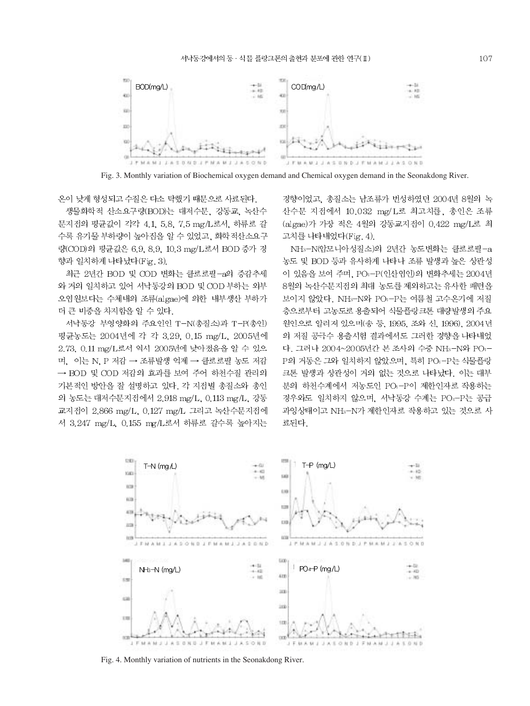

Fig. 3. Monthly variation of Biochemical oxygen demand and Chemical oxygen demand in the Seonakdong River.

온이 낮게 형성되고 수질은 다소 탁했기 때문으로 사료된다.

생물화학적 산소요구량(BOD)는 대저수문, 강동교, 녹산수 문지접의 평균값이 각각 4.1, 5.8, 7.5 mg/L로서, 하류로 갈 수록 유기물 부하량이 높아짐을 알 수 있었고, 화학적산소요구 량(COD)의 평균값은 6.9, 8.9, 10.3 mg/L로서 BOD 증가 경 향과 일치하게 나타났다(Fig. 3).

최근 2년간 BOD 및 COD 변화는 클로로필-a의 증감추세 와 거의 일치하고 있어 서낙동강의 BOD 및 COD 부하는 외부 오염원보다는 수체내의 조류(algae)에 의한 내부생산 부하가 더 큰 비중을 차지함을 알 수 있다.

서낙동강 부영양화의 주요인인 T-N(총질소)과 T-P(총인) 평균농도는 2004년에 각 각 3.29, 0.15 mg/L, 2005년에 2.73, 0.11 mg/L로서 역시 2005년에 낮아졌음을 알 수 있으 며. 이는 N. P 저감 → 조류발생 억제 → 클로로필 농도 저감 → BOD 및 COD 저감의 효과를 보여 주어 하천수질 관리의 기본적인 방안을 잘 설명하고 있다. 각 지점별 총질소와 총인 의 농도는 대저수문지점에서 2.918 mg/L, 0.113 mg/L, 강동 교지접이 2.866 mg/L, 0.127 mg/L 그리고 녹산수문지접에 서 3.247 mg/L, 0.155 mg/L로서 하류로 갈수록 높아지는 경향이었고, 총질소는 남조류가 번성하였던 2004년 8월의 녹 산수문 지점에서 10.032 mg/L로 최고치를, 총인은 조류 (algae)가 가장 적은 4월의 강동교지점이 0.422 mg/L로 최 고치를 나타내었다(Fig. 4).

NH3-N(압모니아성질소)의 2년간 농도변화는 클로로필-a 농도 및 BOD 등과 유사하게 나타나 조류 발생과 높은 상관성 이 있음을 보여 주며, PO<sub>1</sub>-P(인산염인)의 변화추세는 2004년 8월의 녹산수문지점의 최대 농도를 제외하고는 유사한 패턴을 보이지 않았다. NH<sub>3</sub>-N와 PO<sub>1</sub>-P는 여름철 고수온기에 저질 층으로부터 고농도로 용출되어 식물플랑크톤 대량발생의 주요 원인으로 알려져 있으며(송 등, 1995, 조와 신, 1996), 2004년 의 저질 공극수 용출시험 결과에서도 그러한 경향을 나타내었 다. 그러나 2004~2005년간 본 조사의 수중 NH3-N와 PO4-P의 거동은 그와 일치하지 않았으며, 특히 PO+-P는 식물플랑 크톤 발생과 상관성이 거의 없는 것으로 나타났다. 이는 대부 분의 하천수계에서 저농도인 PO<sub>1</sub>-P이 제한인자로 작용하는 경우와도 일치하지 않으며, 서낙동강 수계는 PO--P는 공급 과잉상태이고 NH<sub>3</sub>-N가 제한인자로 작용하고 있는 것으로 사 료된다.



Fig. 4. Monthly variation of nutrients in the Seonakdong River.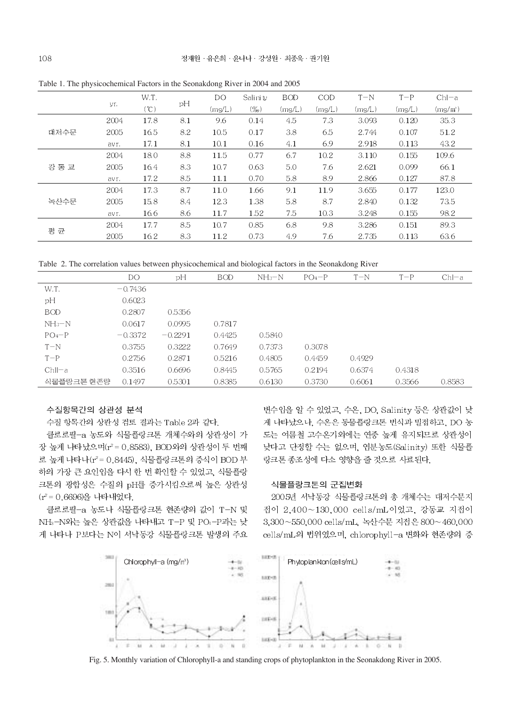|       |       | W.T. |     | DO     | Salinity | <b>BOD</b> | COD    | $T-N$  | $T-P$  | $ChI-a$ |
|-------|-------|------|-----|--------|----------|------------|--------|--------|--------|---------|
|       | yr.   | (C)  | pH  | (mg/L) | $(\%_0)$ | (mg/L)     | (mg/L) | (mg/L) | (mg/L) | (mg/m)  |
| 대저수문  | 2004  | 17.8 | 8.1 | 9.6    | 0.14     | 4.5        | 7.3    | 3.093  | 0.120  | 35.3    |
|       | 2005  | 16.5 | 8.2 | 10.5   | 0.17     | 3.8        | 6.5    | 2.744  | 0.107  | 51.2    |
|       | av r. | 17.1 | 8.1 | 10.1   | 0.16     | 4.1        | 6.9    | 2.918  | 0.113  | 43.2    |
| 강 동 교 | 2004  | 18.0 | 8.8 | 11.5   | 0.77     | 6.7        | 10.2   | 3.110  | 0.155  | 109.6   |
|       | 2005  | 16.4 | 8.3 | 10.7   | 0.63     | 5.0        | 7.6    | 2.621  | 0.099  | 66.1    |
|       | av r. | 17.2 | 8.5 | 11.1   | 0.70     | 5.8        | 8.9    | 2.866  | 0.127  | 87.8    |
| 녹산수문  | 2004  | 17.3 | 8.7 | 11.0   | 1.66     | 9.1        | 11.9   | 3.655  | 0.177  | 123.0   |
|       | 2005  | 15.8 | 8.4 | 12.3   | 1.38     | 5.8        | 8.7    | 2.840  | 0.132  | 73.5    |
|       | av r. | 16.6 | 8.6 | 11.7   | 1.52     | 7.5        | 10.3   | 3.248  | 0.155  | 98.2    |
| 평 균   | 2004  | 17.7 | 8.5 | 10.7   | 0.85     | 6.8        | 9.8    | 3.286  | 0.151  | 89.3    |
|       | 2005  | 16.2 | 8.3 | 11.2   | 0.73     | 4.9        | 7.6    | 2.735  | 0.113  | 63.6    |

Table 1. The physicochemical Factors in the Seonakdong River in 2004 and 2005

Table 2. The correlation values between physicochemical and biological factors in the Seonakdong River

|            | DO        | pH        | <b>BOD</b> | $NH_3-N$ | $PO_4-P$ | $T-N$  | $T-P$  | $ChI-a$ |
|------------|-----------|-----------|------------|----------|----------|--------|--------|---------|
| W.T.       | $-0.7436$ |           |            |          |          |        |        |         |
| рH         | 0.6023    |           |            |          |          |        |        |         |
| <b>BOD</b> | 0.2807    | 0.5356    |            |          |          |        |        |         |
| $NH_3-N$   | 0.0617    | 0.0995    | 0.7817     |          |          |        |        |         |
| $PO_4-P$   | $-0.3372$ | $-0.2291$ | 0.4425     | 0.5840   |          |        |        |         |
| $T-N$      | 0.3755    | 0.3222    | 0.7649     | 0.7373   | 0.3078   |        |        |         |
| $T-P$      | 0.2756    | 0.2871    | 0.5216     | 0.4805   | 0.4459   | 0.4929 |        |         |
| $Chll-a$   | 0.3516    | 0.6696    | 0.8445     | 0.5765   | 0.2194   | 0.6374 | 0.4318 |         |
| 식물플랑크톤 현존량 | 0.1497    | 0.5301    | 0.8385     | 0.6130   | 0.3730   | 0.6061 | 0.3566 | 0.8583  |

# 수질항목간의 상관성 분석

수질 항목간의 상관성 검토 결과는 Table 2과 같다.

클로로필-a 농도와 식물플랑크톤 개체수와의 상관성이 가 장 높게 나타났으며(r2 = 0.8583), BOD와의 상관성이 두 번째 로 높게 나타나(r2=0.8445), 식물플랑크톤의 증식이 BOD 부 하의 가장 큰 요인임을 다시 한 번 확인할 수 있었고, 식물플랑 크톤의 광합성은 수질의 pH를 증가시킴으로써 높은 상관성  $(r^2 = 0.6696)$ 을 나타내었다.

클로로필-a 농도나 식물플랑크톤 현존량의 값이 T-N 및 NH3-N와는 높은 상관값을 나타내고 T-P 및 PO<sub>1</sub>-P과는 낮 게 나타나 P보다는 N이 서낙동강 식물플랑크톤 발생의 주요

변수임을 알 수 있었고, 수온, DO, Salinity 등은 상관값이 낮 게 나타났으나, 수온은 동물플랑크톤 번식과 밀접하고, DO 농 도는 여름철 고수온기외에는 연중 높게 유지되므로 상관성이 낮다고 단정할 수는 없으며, 염분농도(Salinity) 또한 식물플 랑크톤 종조성에 다소 영향을 줄 것으로 사료된다.

#### 식물플랑크톤의 군집변화

2005년 서낙동강 식물플랑크톤의 총 개체수는 대저수문지 점이 2.400~130.000 cells/mL이었고, 강동교 지점이 3,300~550,000 cells/mL, 녹산수문 지점은 800~460,000 cells/mL의 법위였으며, chlorophyll-a 변화와 현존량의 증



Fig. 5. Monthly variation of Chlorophyll-a and standing crops of phytoplankton in the Seonakdong River in 2005.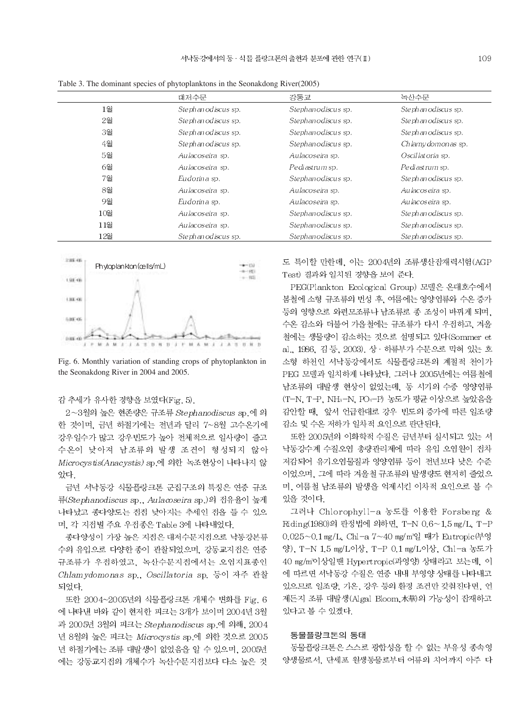|        | 대저수문                      | 강동교                | 녹산수문               |
|--------|---------------------------|--------------------|--------------------|
| 1월     | Stephanodiscus sp.        | Stephanodiscus sp. | Stephanodiscus sp. |
| 2월     | Stephanodiscus sp.        | Stephanodiscus sp. | Stephanodiscus sp. |
| 3월     | Stephanodiscus sp.        | Stephanodiscus sp. | Stephanodiscus sp. |
| 4월     | Stephanodiscus sp.        | Stephanodiscus sp. | Chlamvdomonas sp.  |
| 5월     | Aulacoseira sp.           | Aulacoseira sp.    | Oscillatoria sp.   |
| 6월     | Aulacoseira sp.           | Pediastrum sp.     | Pediastrum sp.     |
| 7월     | Eudorina sp.              | Stephanodiscus sp. | Stephanodiscus sp. |
| 8월     | Aulacoseira sp.           | Aulacoseira sp.    | Aulacoseira sp.    |
| 9월     | Eudorina sp.              | Aulacoseira sp.    | Aulacoseira sp.    |
| 10월    | Aulacoseira sp.           | Stephanodiscus sp. | Stephanodiscus sp. |
| $11$ 월 | Aulacoseira sp.           | Stephanodiscus sp. | Stephanodiscus sp. |
| 12월    | <i>Stephanodiscus</i> sp. | Stephanodiscus sp. | Stephanodiscus sp. |

Table 3. The dominant species of phytoplanktons in the Seonakdong River(2005)



Fig. 6. Monthly variation of standing crops of phytoplankton in the Seonakdong River in 2004 and 2005.

#### 감 추세가 유사한 경향을 보였다(Fig. 5).

2~3월의 높은 현존량은 규조류 Stephanodiscus sp.에 의 한 것이며, 금년 하절기에는 전년과 달리 7~8월 고수온기에 강우일수가 많고 강우빈도가 높아 전체적으로 일사량이 줄고 수온이 낮아져 남조류의 발생 조건이 형성되지 않아 Microcystis(Anacystis) sp.에 의한 녹조현상이 나타나지 않 았다.

금년 서낙동강 식물플랑크톤 군집구조의 특징은 연중 규조 류(Stephanodiscus sp., Aulacoseira sp.)의 접유율이 높게 나타났고 종다양도는 점점 낮아지는 추세인 점을 들 수 있으 며, 각 지점별 주요 우점종은 Table 3에 나타내었다.

종다양성이 가장 높은 지점은 대저수문지점으로 낙동강본류 수의 유입으로 다양한 종이 관찰되었으며, 강동교지점은 연중 규조류가 우접하였고, 녹산수문지접에서는 오염지표종인 Chlamydomonas sp., Oscillatoria sp. 등이 자주 관찰 되었다.

또한 2004~2005년의 식물플랑크톤 개체수 변화를 Fig. 6 에 나타낸 바와 같이 현저한 피크는 3개가 보이며 2004년 3월 과 2005년 3월의 피크는 Stephanodiscus sp.에 의해, 2004 년 8월의 높은 피크는 Microcystis sp.에 의한 것으로 2005 년 하절기에는 조류 대발생이 없었음을 알 수 있으며, 2005년 에는 강동교지점의 개체수가 녹산수문지점보다 다소 높은 것

도 특이할 만한데, 이는 2004년의 조류생산잠재력시험(AGP Test) 결과와 일치된 경향을 보여 준다.

PEG(Plankton Ecological Group) 모델은 온대호수에서 봄철에 소형 규조류의 번성 후, 여름에는 영양염류와 수온 증가 등의 영향으로 와편모조류나 남조류로 종 조성이 바뀌게 되며, 수온 감소와 더불어 가을철에는 규조류가 다시 우전하고, 겨울 철에는 생물량이 감소하는 것으로 설명되고 있다(Sommer et al., 1986, 김 등, 2003). 상 · 하류부가 수문으로 막혀 있는 호 소형 하천인 서낙동강에서도 식물플랑크톤의 계절적 천이가 PEG 모델과 일치하게 나타났다. 그러나 2005년에는 여름철에 남조류의 대발생 현상이 없었는데, 동 시기의 수중 영양염류 (T-N, T-P, NH3-N, PO4-P) 농도가 평균 이상으로 높았음을 감안할 때, 앞서 언급한대로 강우 빈도의 증가에 따른 일조량 감소 및 수온 저하가 일차적 요인으로 판단된다.

또한 2005년의 이화학적 수질은 금년부터 실시되고 있는 서 낙동강수계 수질오염 총량관리제에 따라 유입 오염원이 전차 저감되어 유기오염물질과 영양염류 등이 전년보다 낮은 수준 이었으며, 그에 따라 겨울철 규조류의 발생량도 현저히 줄었으 며, 여름철 남조류의 발생을 억제시킨 이차적 요인으로 볼 수 있을 것이다.

그러나 Chlorophyll-a 농도를 이용한 Forsberg & Riding(1980)의 판정법에 의하면, T-N 0.6~1.5 mg/L, T-P 0.025~0.1 mg/L, Chl-a 7~40 mg/m<sup>3</sup>일 때가 Eutropic(부영 양), T-N 1.5 mg/L이상, T-P 0.1 mg/L이상, Chl-a 농도가 40 mg/m3이상일땐 Hypertropic(과영양) 상태라고 보는데, 이 에 따르면 서낙동강 수질은 연중 내내 부영양 상태를 나타내고 있으므로 일조량, 기온, 강우 등의 환경 조건만 갖춰진다면, 언 제든지 조류 대발생(Algal Bloom,水華)의 가능성이 잠재하고 있다고 볼 수 있겠다.

### 동물플랑크톤의 동태

동물플랑크톤은 스스로 광합성을 할 수 없는 부유성 종속영 양생물로서, 단세포 원생동물로부터 어류의 치어까지 아주 다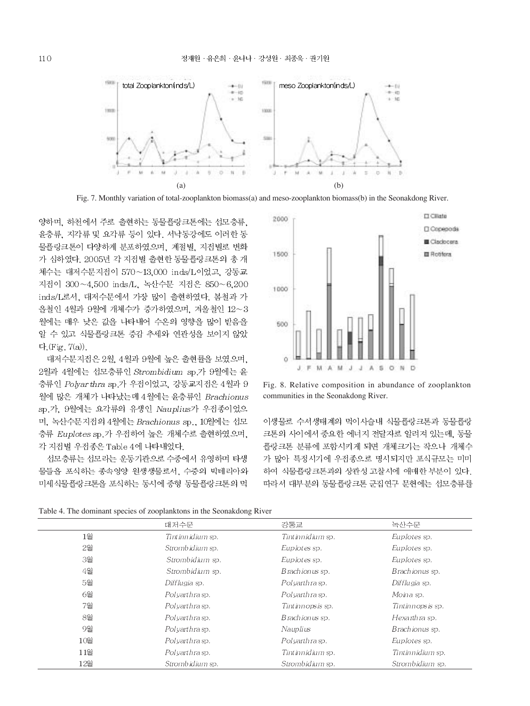

Fig. 7. Monthly variation of total-zooplankton biomass(a) and meso-zooplankton biomass(b) in the Seonakdong River.

양하며, 하천에서 주로 출현하는 동물플랑크톤에는 섬모충류, 윤충류, 지각류 및 요각류 등이 있다. 서낙동강에도 이러한 동 물플랑크톤이 다양하게 분포하였으며, 계절별, 지점별로 변화 가 심하였다. 2005년 각 지점별 출현한 동물플랑크톤의 총 개 체수는 대저수문지점이 570~13,000 inds/L이었고, 강동교 지점이 300~4,500 inds/L, 녹산수문 지점은 850~6,200 inds/L로서, 대저수문에서 가장 많이 출현하였다. 봄철과 가 을철인 4월과 9월에 개체수가 증가하였으며, 겨울철인 12~3 월에는 매우 낮은 값을 나타내어 수온의 영향을 많이 받음을 알 수 있고 식물플랑크톤 증감 추세와 연관성을 보이지 않았 다. (Fig. 7(a)).

대저수문지점은 2월, 4월과 9월에 높은 출현률을 보였으며, 2월과 4월에는 섬모충류인 Strombidium sp.가 9월에는 윤 충류인 Polyar thra sp.가 우점이었고, 강동교지점은 4월과 9 월에 많은 개체가 나타났는데 4월에는 윤충류인 Brachionus sp.가. 9월에는 요각류의 유생인 Nauplius가 우점종이었으 며, 녹산수문지접의 4월에는 Brachionus sp., 10월에는 섭모 충류 Euplotes sp.가 우점하여 높은 개체수로 출현하였으며, 각 지점별 우점종은 Table 4에 나타내었다.

선모충류는 선모라는 운동기관으로 수중에서 유영하며 타생 물들을 포식하는 종속영양 원생생물로서, 수중의 박테리아와 미세식물플랑크톤을 포식하는 동시에 중형 동물플랑크톤의 먹



Fig. 8. Relative composition in abundance of zooplankton communities in the Seonakdong River.

이생물로 수서생태계의 먹이사슬내 식물플랑크톤과 동물플랑 크톤의 사이에서 중요한 에너지 전달자로 알려져 있는데, 동물 플랑크톤 분류에 포함시키게 되면 개체크기는 작으나 개체수 가 많아 특정시기에 우점종으로 명시되지만 포식규모는 미미 하여 식물플랑크톤과의 상관성 고찰시에 애매한 부분이 있다. 따라서 대부분의 동물플랑크톤 군집연구 문헌에는 선모충류를

|     | 대저수문                  | 강동교                | 녹산수문               |
|-----|-----------------------|--------------------|--------------------|
| 1월  | Tintinnidium sp.      | Tint innidium sp.  | Euplotes sp.       |
| 2월  | Strombidium sp.       | Euplotes sp.       | Euplotes sp.       |
| 3월  | Strombidium sp.       | Euplotes sp.       | Euplotes sp.       |
| 4월  | Strombidium sp.       | Brachionus sp.     | Brachionus sp.     |
| 5월  | Difflugia sp.         | Polvarthra sp.     | Difflugia sp.      |
| 6월  | Polvarthra sp.        | Polvarthra sp.     | Moina sp.          |
| 7월  | <i>Polvarthra</i> sp. | Tintinn opsis sp.  | Tintinnopsis sp.   |
| 8월  | Polvarthra sp.        | Brachionus sp.     | Hexarthra sp.      |
| 9월  | Polvarthra sp.        | Nauplius           | Brachionus sp.     |
| 10월 | <i>Polvarthra</i> sp. | Polvarthra sp.     | Euplotes sp.       |
| 11월 | Polvarthra sp.        | Tint inn idium sp. | Tint inn idium sp. |
| 12월 | Strombidium sp.       | Strombidium sp.    | Strombidium sp.    |

Table 4. The dominant species of zooplanktons in the Seonakdong River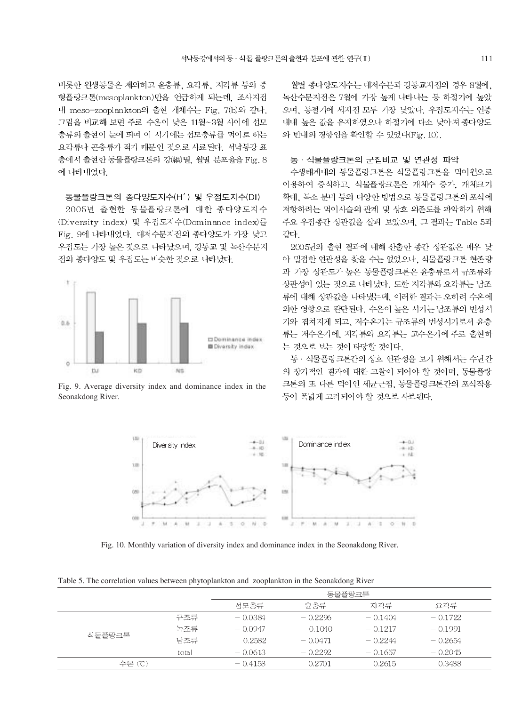비롯한 원생동물은 제외하고 윤충류, 요각류, 지각류 등의 중 형플랑크톤(mesoplankton)만을 언급하게 되는데, 조사지점 내 meso-zooplankton의 출현 개체수는 Fig. 7(b)와 같다. 그림을 비교해 보면 주로 수온이 낮은 11월~3월 사이에 선모 충류의 출현이 눈에 띄며 이 시기에는 섬모충류를 먹이로 하는 요각류나 곤충류가 적기 때문인 것으로 사료된다. 서낙동강 표 층에서 출현한 동물플랑크톤의 강(綱)별, 월별 분포율을 Fig. 8 에 나타내었다.

#### 동물플랑크톤의 종다양도지수(H') 및 우점도지수(DI)

2005년 출현한 동물플랑크톤에 대한 종다양도지수 (Diversity index) 및 우점도지수(Dominance index)를 Fig. 9에 나타내었다. 대저수문지점의 종다양도가 가장 낮고 우점도는 가장 높은 것으로 나타났으며, 강동교 및 녹산수문지 전의 종다양도 및 우점도는 비슷한 것으로 나타났다.



Fig. 9. Average diversity index and dominance index in the Seonakdong River.

월별 종다양도지수는 대저수문과 강동교지점의 경우 8월에. 녹산수문지점은 7월에 가장 높게 나타나는 등 하절기에 높았 으며, 동절기에 세지점 모두 가장 낮았다. 우점도지수는 연중 내내 높은 값을 유지하였으나 하절기에 다소 낮아져 종다양도 와 반대의 경향임을 확인할 수 있었다(Fig. 10).

#### 동 · 식물플랑크톤의 군집비교 및 연관성 파악

수생태계내의 동물플랑크톤은 식물플랑크톤을 먹이원으로 이용하여 증식하고, 식물플랑크톤은 개체수 증가, 개체크기 확대, 독소 분비 등의 다양한 방법으로 동물플랑크톤의 포식에 저항하려는 먹이사슬의 관계 및 상호 의존도를 파악하기 위해 주요 우점종간 상관값을 살펴 보았으며, 그 결과는 Table 5과 같다

2005년의 출현 결과에 대해 산출한 종간 상관값은 매우 낮 아 밀접한 연관성을 찾을 수는 없었으나, 식물플랑크톤 현존량 과 가장 상관도가 높은 동물플랑크톤은 윤충류로서 규조류와 상관성이 있는 것으로 나타났다. 또한 지각류와 요각류는 남조 류에 대해 상관값을 나타냈는데, 이러한 결과는 오히려 수온에 의한 영향으로 판단된다. 수온이 높은 시기는 남조류의 번성시 기와 겹쳐지게 되고, 저수온기는 규조류의 번성시기로서 윤충 류는 저수온기에, 지각류와 요각류는 고수온기에 주로 출현하 는 것으로 보는 것이 타당할 것이다.

동 · 식물플랑크톤간의 상호 연관성을 보기 위해서는 수년간 의 장기적인 결과에 대한 고찰이 되어야 할 것이며, 동물플랑 크톤의 또 다른 먹이인 세균군집, 동물플랑크톤간의 포식작용 등이 폭넓게 고려되어야 할 것으로 사료된다.



Fig. 10. Monthly variation of diversity index and dominance index in the Seonakdong River.

Table 5. The correlation values between phytoplankton and zooplankton in the Seonakdong River

|        |       | 동물플랑크톤    |           |            |           |  |
|--------|-------|-----------|-----------|------------|-----------|--|
|        |       | 섬모충류      | 윤충류       | 지각류        | 요각류       |  |
|        | 규조류   | $-0.0384$ | $-0.2296$ | $-0.1404$  | $-0.1722$ |  |
|        | 녹조류   | $-0.0947$ | 0.1040    | $= 0.1217$ | $-0.1991$ |  |
| 식물플랑크톤 | 남조류   | 0.2582    | $-0.0471$ | $-0.2244$  | $-0.2654$ |  |
|        | total | $-0.0613$ | $-0.2292$ | $-0.1657$  | $-0.2045$ |  |
| 수온 (℃) |       | $-0.4158$ | 0.2701    | 0.2615     | 0.3488    |  |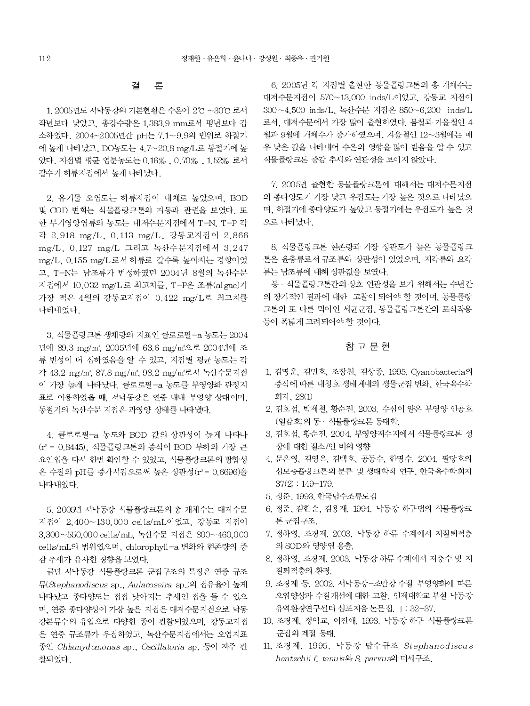#### 결 론

1. 2005년도 서낙동강의 기본현황은 수온이 2℃ ~30℃ 로서 작년보다 낮았고, 총강수량은 1,383.9 mm로서 평년보다 감 소하였다. 2004~2005년간 pH는 7.1~9.9의 법위로 하절기 에 높게 나타났고, DO농도는 4.7~20.8 mg/L로 동절기에 높 았다. 지점별 평균 염분농도는 0.16%, 0.70%, 1.52% 로서 갈수기 하류지점에서 높게 나타났다.

2. 유기물 오염도는 하류지점이 대체로 높았으며, BOD 및 COD 변화는 식물플랑크톤의 거동과 관련을 보였다. 또 한 무기영양염류의 농도는 대저수문지점에서 T-N. T-P 각 각 2.918 mg/L, 0.113 mg/L, 강동교지점이 2.866 mg/L, 0.127 mg/L 그리고 녹산수문지점에서 3.247 mg/L, 0.155 mg/L 로서 하류로 갈수록 높아지는 경향이었 고. T-N는 남조류가 번성하였던 2004년 8월의 녹산수문 지접에서 10.032 mg/L로 최고치를, T-P은 조류(al gae)가 가장 적은 4월의 강동교지점이 0.422 mg/L로 최고치를 나타내었다.

3. 식물플랑크톤 생체량의 지표인 클로로필-a 농도는 2004 년에 89.3 mg/m2 2005년에 63.6 mg/m<sup>3</sup>으로 2004년에 조 류 번성이 더 심하였음을 알 수 있고, 지점별 평균 농도는 각 각 43.2 mg/m3, 87.8 mg/m3, 98.2 mg/m3로서 녹산수문지점 이 가장 높게 나타났다. 클로로필-a 농도를 부영양화 판정지 표로 이용하였을 때, 서낙동강은 연중 내내 부영양 상태이며, 동절기의 녹산수문 지점은 과영양 상태를 나타냈다.

4. 클로로필-a 농도와 BOD 값의 상관성이 높게 나타나 (r2 = 0.8445). 식물플랑크톤의 증식이 BOD 부하의 가장 큰 요인임을 다시 한번 확인할 수 있었고, 식물플랑크톤의 광합성 은 수질의 pH를 증가시킴으로써 높은 상관성(r2 = 0.6696)을 나타내었다.

5, 2005년 서낙동강 식물플랑크톤의 총 개체수는 대저수문 지접이 2.400~130.000 cells/mL이었고, 강동교 지접이 3.300~550.000 cells/mL 녹산수문 지점은 800~460.000 cells/mL의 법위였으며, chlorophyll-a 변화와 현존량의 증 감 추세가 유사한 경향을 보였다.

금년 서낙동강 식물플랑크톤 군집구조의 특징은 연중 규조 류(Stephanodiscus sp., Aulacoseira sp.)의 접유율이 높게 나타났고 종다양도는 점점 낮아지는 추세인 점을 들 수 있으 며, 연중 종다양성이 가장 높은 지점은 대저수문지점으로 낙동 강본류수의 유입으로 다양한 종이 관찰되었으며, 강동교지점 은 연중 규조류가 우점하였고, 녹산수문지점에서는 오염지표 종인 Chlamydomonas sp., Oscillatoria sp. 등이 자주 관 찰되었다.

6. 2005년 각 지점별 출현한 동물플랑크톤의 총 개체수는 대저수문지점이 570~13,000 inds/L이었고, 강동교 지점이 300~4,500 inds/L, 녹산수문 지점은 850~6,200 inds/L 로서, 대저수문에서 가장 많이 출현하였다. 봄철과 가을철인 4 월과 9월에 개체수가 증가하였으며, 겨울철인 12~3월에는 매 우 낮은 값을 나타내어 수온의 영향을 많이 받음을 알 수 있고 식물플랑크톤 증감 추세와 연관성을 보이지 않았다.

7. 2005년 출현한 동물플랑크톤에 대해서는 대저수문지점 의 종다양도가 가장 낮고 우점도는 가장 높은 것으로 나타났으 며, 하절기에 종다양도가 높았고 동절기에는 우점도가 높은 것 으로 나타났다.

8. 식물플랑크톤 현존량과 가장 상관도가 높은 동물플랑크 톤은 윤충류로서 규조류와 상관성이 있었으며, 지각류와 요각 류는 남조류에 대해 상관값을 보였다.

동 · 식물플랑크톤간의 상호 연관성을 보기 위해서는 수년간 의 장기적인 결과에 대한 고찰이 되어야 할 것이며, 동물플랑 크톤의 또 다른 먹이인 세균군집, 동물플랑크톤간의 포식작용 등이 폭넓게 고려되어야 할 것이다.

### 참 고 문 헌

- 1. 김명운, 김민호, 조장천, 김상종, 1995. Cyanobacteria의 증식에 따른 대청호 생태계내의 생물군집 변화, 한국육수학 회지, 28(1)
- 2. 김호섭, 박제철, 황순진, 2003, 수심이 얕은 부영양 인공호 (일감호)의 동 · 식물플랑크톤 동태학.
- 3. 김호섭, 황순진, 2004. 부영양저수지에서 식물플랑크톤 성 장에 대한 질소/인 비의 영향
- 4. 문은영, 김영옥, 김백호, 공동수, 한명수, 2004. 팔당호의 섬모충플랑크톤의 분류 및 생태학적 연구, 한국육수학회지  $37(2) : 149 - 179.$
- 5. 정준, 1993, 한국담수조류도감
- 6. 정준, 김한순, 김용재, 1994, 낙동강 하구댄의 식물플랑크 톤 군집구조.
- 7. 정하영, 조경제, 2003. 낙동강 하류 수계에서 저질퇴적층 의 SOD와 영양염 용출.
- 8. 정하영, 조경제, 2003. 낙동강 하류 수계에서 저층수 및 저 질퇴적층의 환경.
- 9. 조경제 등. 2002. 서낙동강-조만강 수질 부영양화에 따른 오염양상과 수질개선에 대한 고찰. 인제대학교 부설 낙동강 유역환경연구센터 심포지움 논문집, I: 32-37.
- 10. 조경제, 정익교, 이진애, 1993. 낙동강 하구 식물플랑크톤 군집의 계절 동태.
- 11. 조경제, 1995. 낙동강 담수규조 Stephanodiscus hantzchii f. tenuis와 S. parvus의 미세구조.